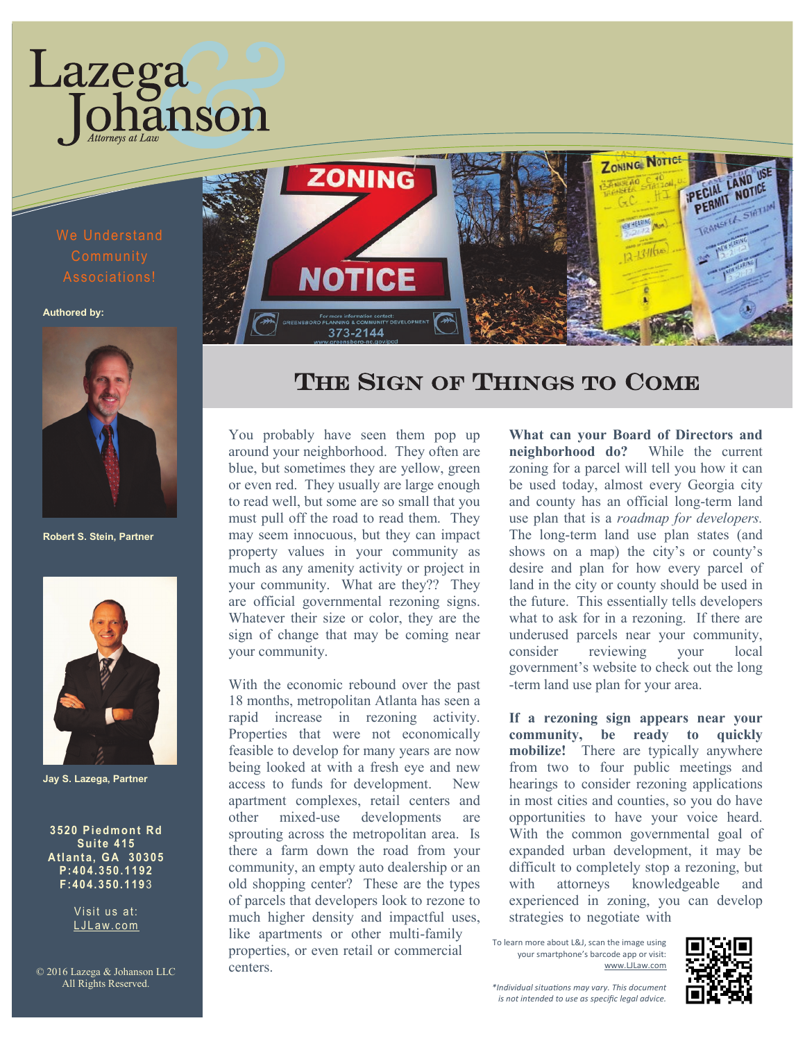## We Understand Associations!

Lazega

ianson

**Authored by:**



**Robert S. Stein, Partner**



**Jay S. Lazega, Partner**

**3520 Pi edmont Rd Sui te 415 Atl anta, GA 30305 P:404. 350.1192 F:404. 350. 119** 3

> Visit us at: LJLaw.com

© 2016 Lazega & Johanson LLC All Rights Reserved.



## THE SIGN OF THINGS TO COME

You probably have seen them pop up around your neighborhood. They often are blue, but sometimes they are yellow, green or even red. They usually are large enough to read well, but some are so small that you must pull off the road to read them. They may seem innocuous, but they can impact property values in your community as much as any amenity activity or project in your community. What are they?? They are official governmental rezoning signs. Whatever their size or color, they are the sign of change that may be coming near your community.

With the economic rebound over the past 18 months, metropolitan Atlanta has seen a rapid increase in rezoning activity. Properties that were not economically feasible to develop for many years are now being looked at with a fresh eye and new access to funds for development. New apartment complexes, retail centers and other mixed-use developments are sprouting across the metropolitan area. Is there a farm down the road from your community, an empty auto dealership or an old shopping center? These are the types of parcels that developers look to rezone to much higher density and impactful uses, like apartments or other multi-family properties, or even retail or commercial centers.

**What can your Board of Directors and neighborhood do?** While the current zoning for a parcel will tell you how it can be used today, almost every Georgia city and county has an official long-term land use plan that is a *roadmap for developers.*  The long-term land use plan states (and shows on a map) the city's or county's desire and plan for how every parcel of land in the city or county should be used in the future. This essentially tells developers what to ask for in a rezoning. If there are underused parcels near your community, consider reviewing your local government's website to check out the long -term land use plan for your area.

**If a rezoning sign appears near your community, be ready to quickly mobilize!** There are typically anywhere from two to four public meetings and hearings to consider rezoning applications in most cities and counties, so you do have opportunities to have your voice heard. With the common governmental goal of expanded urban development, it may be difficult to completely stop a rezoning, but with attorneys knowledgeable and experienced in zoning, you can develop strategies to negotiate with

To learn more about L&J, scan the image using your smartphone's barcode app or visit: www.LJLaw.com



*\*Individual situations may vary. This document is not intended to use as specific legal advice.*